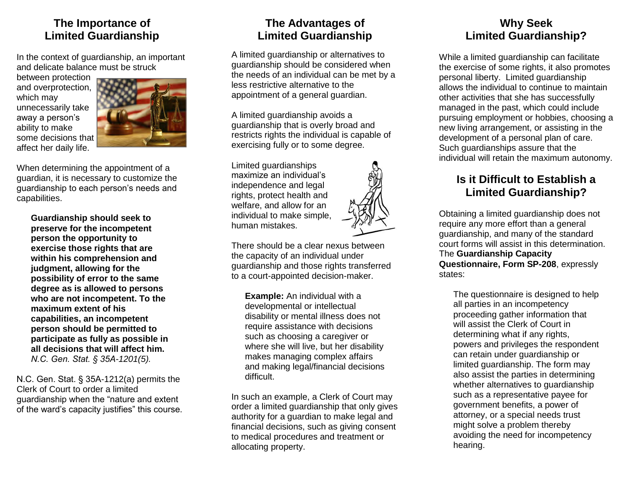#### **The Importance of Limited Guardianship**

In the context of guardianship, an important and delicate balance must be struck

between protection and overprotection, which may unnecessarily take away a person's ability to make some decisions that affect her daily life.



When determining the appointment of a guardian, it is necessary to customize the guardianship to each person's needs and capabilities.

**Guardianship should seek to preserve for the incompetent person the opportunity to exercise those rights that are within his comprehension and judgment, allowing for the possibility of error to the same degree as is allowed to persons who are not incompetent. To the maximum extent of his capabilities, an incompetent person should be permitted to participate as fully as possible in all decisions that will affect him.**  *N.C. Gen. Stat. § 35A-1201(5).* 

N.C. Gen. Stat. § 35A-1212(a) permits the Clerk of Court to order a limited guardianship when the "nature and extent of the ward's capacity justifies" this course.

# **The Advantages of Limited Guardianship**

A limited guardianship or alternatives to guardianship should be considered when the needs of an individual can be met by a less restrictive alternative to the appointment of a general guardian.

A limited guardianship avoids a guardianship that is overly broad and restricts rights the individual is capable of exercising fully or to some degree.

Limited guardianships maximize an individual's independence and legal rights, protect health and welfare, and allow for an individual to make simple, human mistakes.



There should be a clear nexus between the capacity of an individual under guardianship and those rights transferred to a court-appointed decision-maker.

**Example:** An individual with a developmental or intellectual disability or mental illness does not require assistance with decisions such as choosing a caregiver or where she will live, but her disability makes managing complex affairs and making legal/financial decisions difficult.

In such an example, a Clerk of Court may order a limited guardianship that only gives authority for a guardian to make legal and financial decisions, such as giving consent to medical procedures and treatment or allocating property.

### **Why Seek Limited Guardianship?**

While a limited guardianship can facilitate the exercise of some rights, it also promotes personal liberty. Limited guardianship allows the individual to continue to maintain other activities that she has successfully managed in the past, which could include pursuing employment or hobbies, choosing a new living arrangement, or assisting in the development of a personal plan of care. Such guardianships assure that the individual will retain the maximum autonomy.

# **Is it Difficult to Establish a Limited Guardianship?**

Obtaining a limited guardianship does not require any more effort than a general guardianship, and many of the standard court forms will assist in this determination. The **Guardianship Capacity Questionnaire, Form SP-208**, expressly states:

The questionnaire is designed to help all parties in an incompetency proceeding gather information that will assist the Clerk of Court in determining what if any rights, powers and privileges the respondent can retain under guardianship or limited guardianship. The form may also assist the parties in determining whether alternatives to guardianship such as a representative payee for government benefits, a power of attorney, or a special needs trust might solve a problem thereby avoiding the need for incompetency hearing.